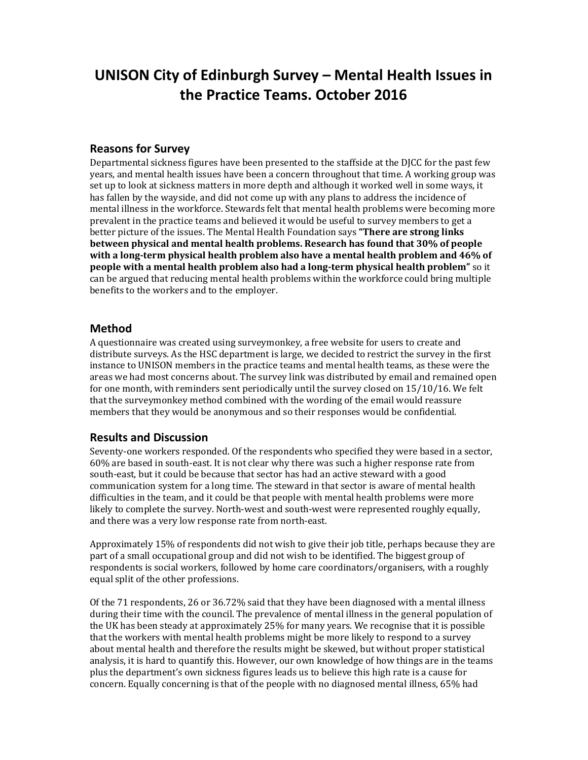# **UNISON City of Edinburgh Survey – Mental Health Issues in the Practice Teams. October 2016**

#### **Reasons for Survey**

Departmental sickness figures have been presented to the staffside at the DJCC for the past few years, and mental health issues have been a concern throughout that time. A working group was set up to look at sickness matters in more depth and although it worked well in some ways, it has fallen by the wayside, and did not come up with any plans to address the incidence of mental illness in the workforce. Stewards felt that mental health problems were becoming more prevalent in the practice teams and believed it would be useful to survey members to get a better picture of the issues. The Mental Health Foundation says **"There are strong links between physical and mental health problems. Research has found that 30% of people with a long-term physical health problem also have a mental health problem and 46% of people with a mental health problem also had a long-term physical health problem"** so it can be argued that reducing mental health problems within the workforce could bring multiple benefits to the workers and to the employer.

#### **Method**

A questionnaire was created using surveymonkey, a free website for users to create and distribute surveys. As the HSC department is large, we decided to restrict the survey in the first instance to UNISON members in the practice teams and mental health teams, as these were the areas we had most concerns about. The survey link was distributed by email and remained open for one month, with reminders sent periodically until the survey closed on 15/10/16. We felt that the surveymonkey method combined with the wording of the email would reassure members that they would be anonymous and so their responses would be confidential.

#### **Results and Discussion**

Seventy-one workers responded. Of the respondents who specified they were based in a sector, 60% are based in south-east. It is not clear why there was such a higher response rate from south-east, but it could be because that sector has had an active steward with a good communication system for a long time. The steward in that sector is aware of mental health difficulties in the team, and it could be that people with mental health problems were more likely to complete the survey. North-west and south-west were represented roughly equally, and there was a very low response rate from north-east.

Approximately 15% of respondents did not wish to give their job title, perhaps because they are part of a small occupational group and did not wish to be identified. The biggest group of respondents is social workers, followed by home care coordinators/organisers, with a roughly equal split of the other professions.

Of the 71 respondents, 26 or 36.72% said that they have been diagnosed with a mental illness during their time with the council. The prevalence of mental illness in the general population of the UK has been steady at approximately 25% for many years. We recognise that it is possible that the workers with mental health problems might be more likely to respond to a survey about mental health and therefore the results might be skewed, but without proper statistical analysis, it is hard to quantify this. However, our own knowledge of how things are in the teams plus the department's own sickness figures leads us to believe this high rate is a cause for concern. Equally concerning is that of the people with no diagnosed mental illness, 65% had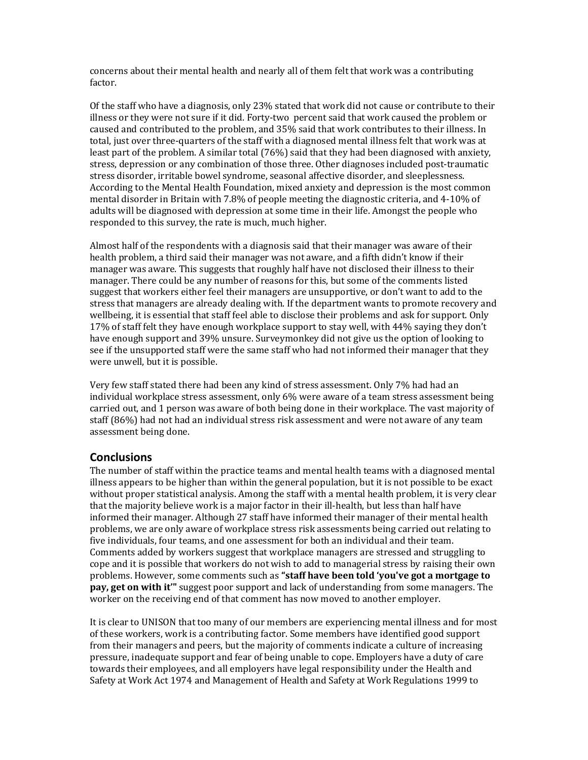concerns about their mental health and nearly all of them felt that work was a contributing factor.

Of the staff who have a diagnosis, only 23% stated that work did not cause or contribute to their illness or they were not sure if it did. Forty-two percent said that work caused the problem or caused and contributed to the problem, and 35% said that work contributes to their illness. In total, just over three-quarters of the staff with a diagnosed mental illness felt that work was at least part of the problem. A similar total (76%) said that they had been diagnosed with anxiety, stress, depression or any combination of those three. Other diagnoses included post-traumatic stress disorder, irritable bowel syndrome, seasonal affective disorder, and sleeplessness. According to the Mental Health Foundation, mixed anxiety and depression is the most common mental disorder in Britain with 7.8% of people meeting the diagnostic criteria, and 4-10% of adults will be diagnosed with depression at some time in their life. Amongst the people who responded to this survey, the rate is much, much higher.

Almost half of the respondents with a diagnosis said that their manager was aware of their health problem, a third said their manager was not aware, and a fifth didn't know if their manager was aware. This suggests that roughly half have not disclosed their illness to their manager. There could be any number of reasons for this, but some of the comments listed suggest that workers either feel their managers are unsupportive, or don't want to add to the stress that managers are already dealing with. If the department wants to promote recovery and wellbeing, it is essential that staff feel able to disclose their problems and ask for support. Only 17% of staff felt they have enough workplace support to stay well, with 44% saying they don't have enough support and 39% unsure. Surveymonkey did not give us the option of looking to see if the unsupported staff were the same staff who had not informed their manager that they were unwell, but it is possible.

Very few staff stated there had been any kind of stress assessment. Only 7% had had an individual workplace stress assessment, only 6% were aware of a team stress assessment being carried out, and 1 person was aware of both being done in their workplace. The vast majority of staff (86%) had not had an individual stress risk assessment and were not aware of any team assessment being done.

#### **Conclusions**

The number of staff within the practice teams and mental health teams with a diagnosed mental illness appears to be higher than within the general population, but it is not possible to be exact without proper statistical analysis. Among the staff with a mental health problem, it is very clear that the majority believe work is a major factor in their ill-health, but less than half have informed their manager. Although 27 staff have informed their manager of their mental health problems, we are only aware of workplace stress risk assessments being carried out relating to five individuals, four teams, and one assessment for both an individual and their team. Comments added by workers suggest that workplace managers are stressed and struggling to cope and it is possible that workers do not wish to add to managerial stress by raising their own problems. However, some comments such as **"staff have been told 'you've got a mortgage to pay, get on with it'"** suggest poor support and lack of understanding from some managers. The worker on the receiving end of that comment has now moved to another employer.

It is clear to UNISON that too many of our members are experiencing mental illness and for most of these workers, work is a contributing factor. Some members have identified good support from their managers and peers, but the majority of comments indicate a culture of increasing pressure, inadequate support and fear of being unable to cope. Employers have a duty of care towards their employees, and all employers have legal responsibility under the Health and Safety at Work Act 1974 and Management of Health and Safety at Work Regulations 1999 to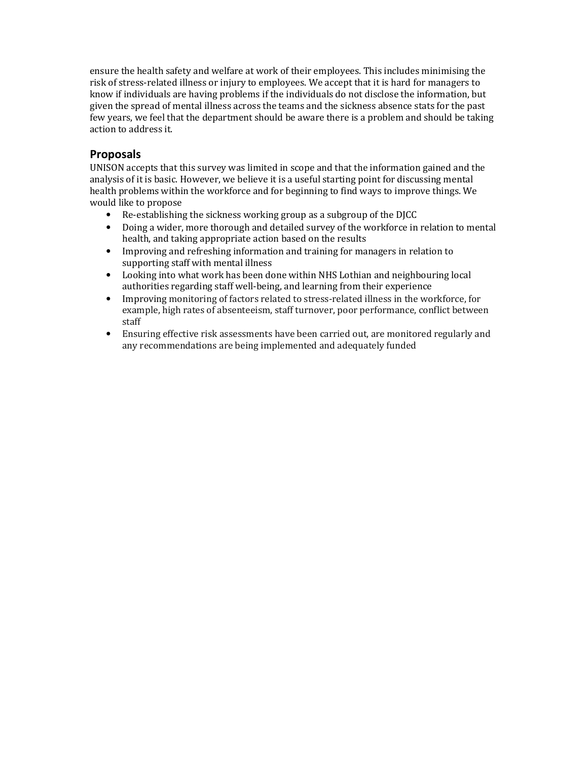ensure the health safety and welfare at work of their employees. This includes minimising the risk of stress-related illness or injury to employees. We accept that it is hard for managers to know if individuals are having problems if the individuals do not disclose the information, but given the spread of mental illness across the teams and the sickness absence stats for the past few years, we feel that the department should be aware there is a problem and should be taking action to address it.

### **Proposals**

UNISON accepts that this survey was limited in scope and that the information gained and the analysis of it is basic. However, we believe it is a useful starting point for discussing mental health problems within the workforce and for beginning to find ways to improve things. We would like to propose

- Re-establishing the sickness working group as a subgroup of the DJCC
- Doing a wider, more thorough and detailed survey of the workforce in relation to mental health, and taking appropriate action based on the results
- Improving and refreshing information and training for managers in relation to supporting staff with mental illness
- Looking into what work has been done within NHS Lothian and neighbouring local authorities regarding staff well-being, and learning from their experience
- Improving monitoring of factors related to stress-related illness in the workforce, for example, high rates of absenteeism, staff turnover, poor performance, conflict between staff
- Ensuring effective risk assessments have been carried out, are monitored regularly and any recommendations are being implemented and adequately funded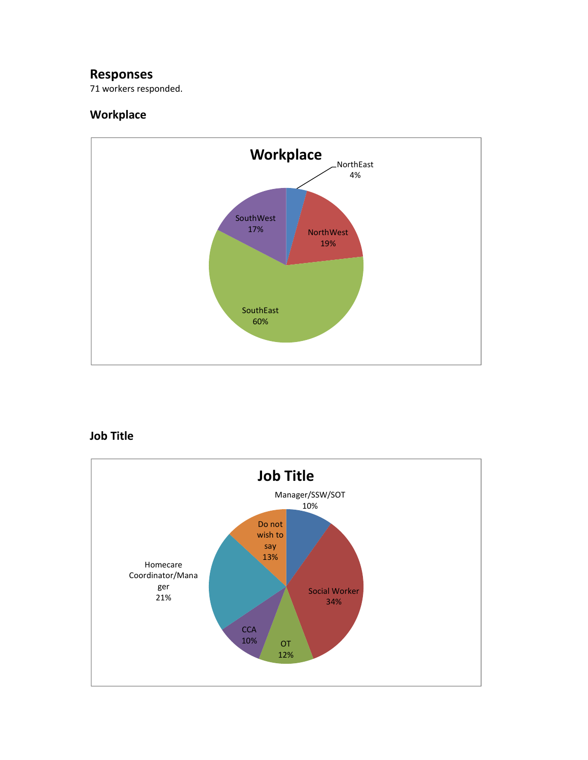### **Responses**

71 workers responded.

### **Workplace**



## **Job Title**

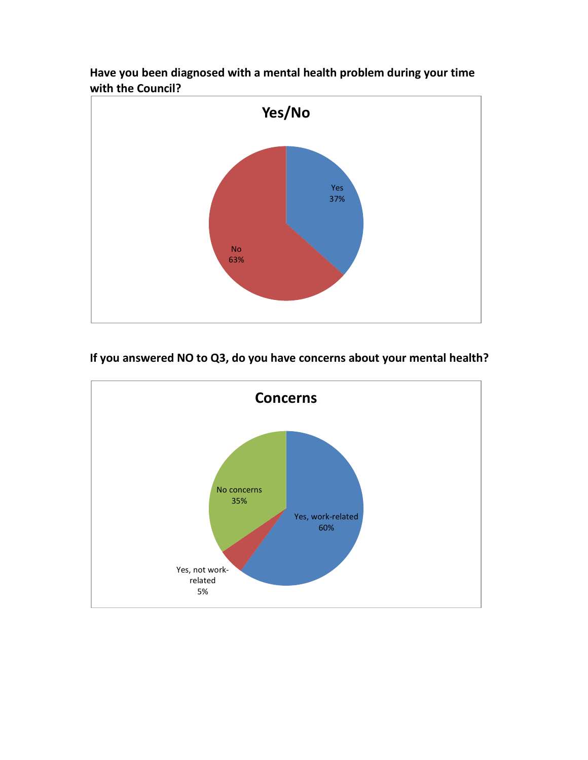

**Have you been diagnosed with a mental health problem during your time with the Council?** 

# **If you answered NO to Q3, do you have concerns about your mental health?**

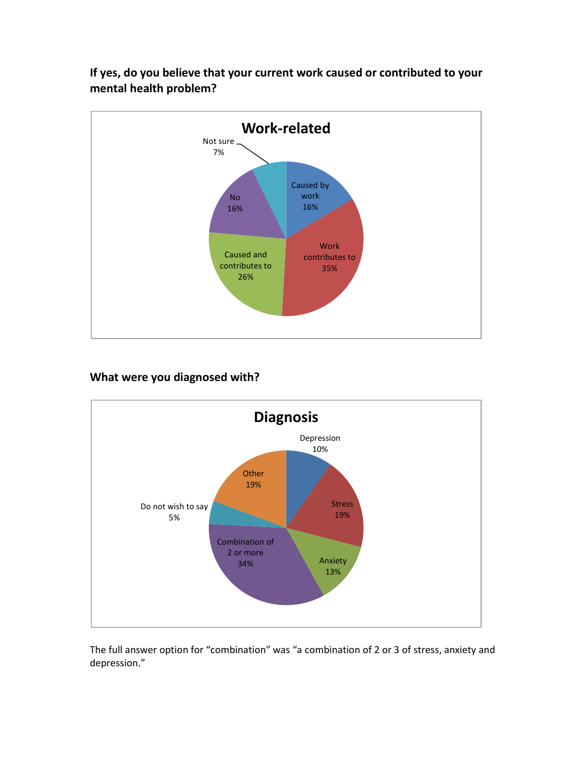

**If yes, do you believe that your current work caused or contributed to your mental health problem?** 

### **What were you diagnosed with?**



The full answer option for "combination" was "a combination of 2 or 3 of stress, anxiety and depression."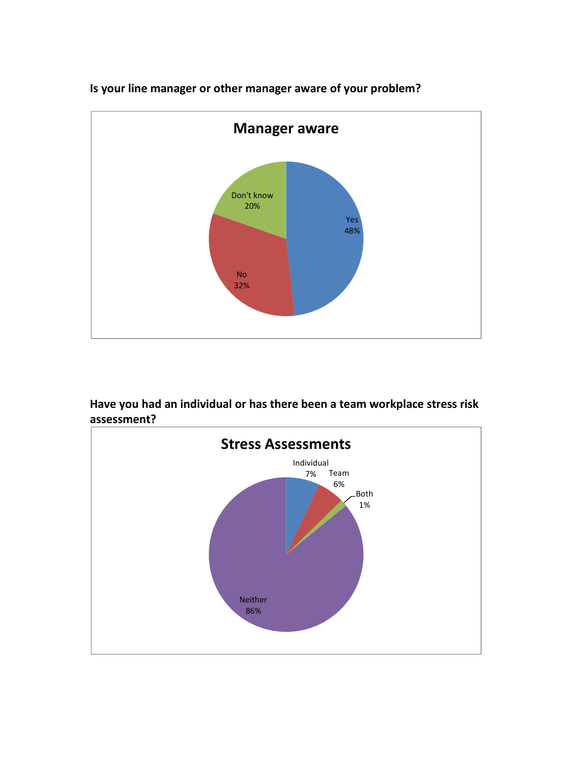

**Is your line manager or other manager aware of your problem?** 

**Have you had an individual or has there been a team workplace stress risk assessment?** 

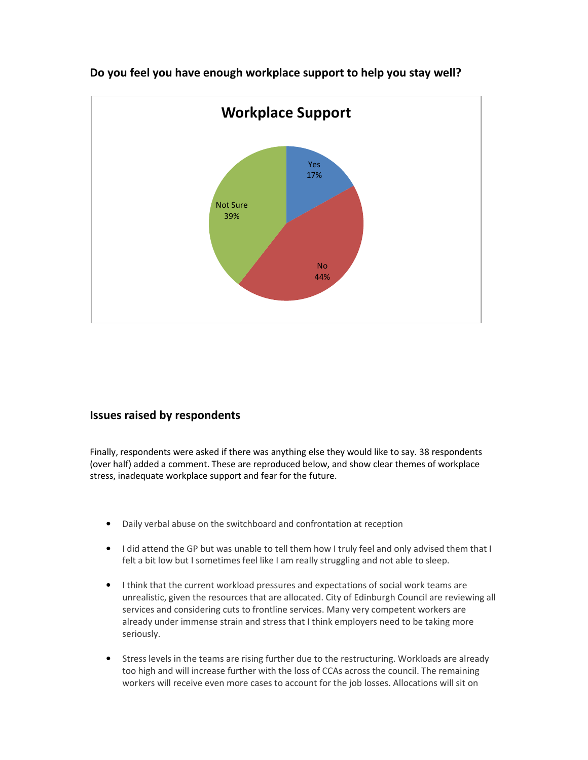

**Do you feel you have enough workplace support to help you stay well?** 

### **Issues raised by respondents**

Finally, respondents were asked if there was anything else they would like to say. 38 respondents (over half) added a comment. These are reproduced below, and show clear themes of workplace stress, inadequate workplace support and fear for the future.

- Daily verbal abuse on the switchboard and confrontation at reception
- I did attend the GP but was unable to tell them how I truly feel and only advised them that I felt a bit low but I sometimes feel like I am really struggling and not able to sleep.
- I think that the current workload pressures and expectations of social work teams are unrealistic, given the resources that are allocated. City of Edinburgh Council are reviewing all services and considering cuts to frontline services. Many very competent workers are already under immense strain and stress that I think employers need to be taking more seriously.
- Stress levels in the teams are rising further due to the restructuring. Workloads are already too high and will increase further with the loss of CCAs across the council. The remaining workers will receive even more cases to account for the job losses. Allocations will sit on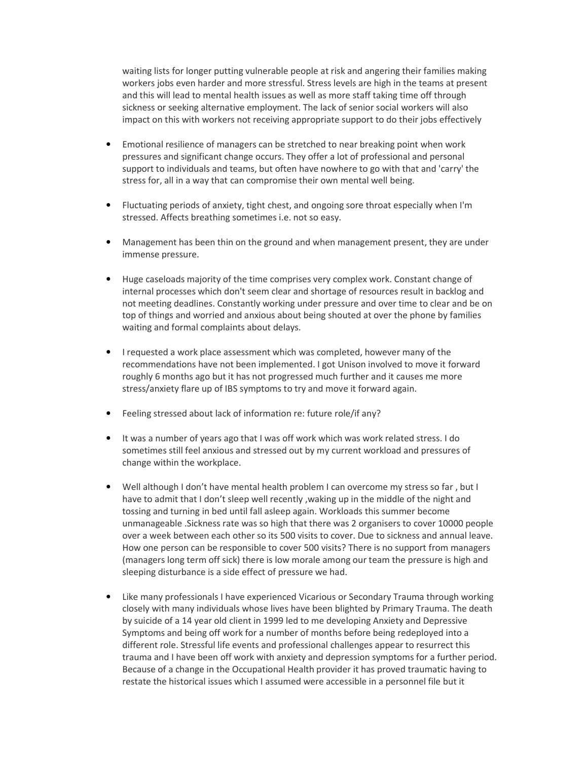waiting lists for longer putting vulnerable people at risk and angering their families making workers jobs even harder and more stressful. Stress levels are high in the teams at present and this will lead to mental health issues as well as more staff taking time off through sickness or seeking alternative employment. The lack of senior social workers will also impact on this with workers not receiving appropriate support to do their jobs effectively

- Emotional resilience of managers can be stretched to near breaking point when work pressures and significant change occurs. They offer a lot of professional and personal support to individuals and teams, but often have nowhere to go with that and 'carry' the stress for, all in a way that can compromise their own mental well being.
- Fluctuating periods of anxiety, tight chest, and ongoing sore throat especially when I'm stressed. Affects breathing sometimes i.e. not so easy.
- Management has been thin on the ground and when management present, they are under immense pressure.
- Huge caseloads majority of the time comprises very complex work. Constant change of internal processes which don't seem clear and shortage of resources result in backlog and not meeting deadlines. Constantly working under pressure and over time to clear and be on top of things and worried and anxious about being shouted at over the phone by families waiting and formal complaints about delays.
- I requested a work place assessment which was completed, however many of the recommendations have not been implemented. I got Unison involved to move it forward roughly 6 months ago but it has not progressed much further and it causes me more stress/anxiety flare up of IBS symptoms to try and move it forward again.
- Feeling stressed about lack of information re: future role/if any?
- It was a number of years ago that I was off work which was work related stress. I do sometimes still feel anxious and stressed out by my current workload and pressures of change within the workplace.
- Well although I don't have mental health problem I can overcome my stress so far , but I have to admit that I don't sleep well recently ,waking up in the middle of the night and tossing and turning in bed until fall asleep again. Workloads this summer become unmanageable .Sickness rate was so high that there was 2 organisers to cover 10000 people over a week between each other so its 500 visits to cover. Due to sickness and annual leave. How one person can be responsible to cover 500 visits? There is no support from managers (managers long term off sick) there is low morale among our team the pressure is high and sleeping disturbance is a side effect of pressure we had.
- Like many professionals I have experienced Vicarious or Secondary Trauma through working closely with many individuals whose lives have been blighted by Primary Trauma. The death by suicide of a 14 year old client in 1999 led to me developing Anxiety and Depressive Symptoms and being off work for a number of months before being redeployed into a different role. Stressful life events and professional challenges appear to resurrect this trauma and I have been off work with anxiety and depression symptoms for a further period. Because of a change in the Occupational Health provider it has proved traumatic having to restate the historical issues which I assumed were accessible in a personnel file but it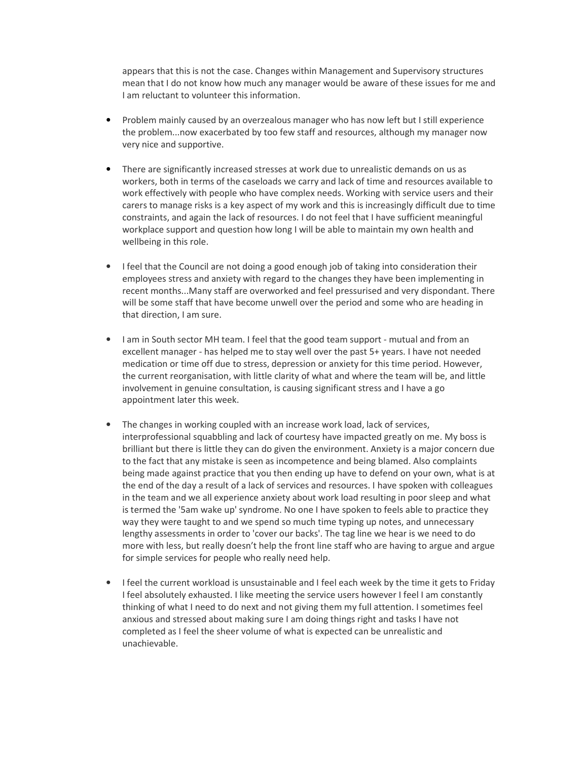appears that this is not the case. Changes within Management and Supervisory structures mean that I do not know how much any manager would be aware of these issues for me and I am reluctant to volunteer this information.

- Problem mainly caused by an overzealous manager who has now left but I still experience the problem...now exacerbated by too few staff and resources, although my manager now very nice and supportive.
- There are significantly increased stresses at work due to unrealistic demands on us as workers, both in terms of the caseloads we carry and lack of time and resources available to work effectively with people who have complex needs. Working with service users and their carers to manage risks is a key aspect of my work and this is increasingly difficult due to time constraints, and again the lack of resources. I do not feel that I have sufficient meaningful workplace support and question how long I will be able to maintain my own health and wellbeing in this role.
- I feel that the Council are not doing a good enough job of taking into consideration their employees stress and anxiety with regard to the changes they have been implementing in recent months...Many staff are overworked and feel pressurised and very dispondant. There will be some staff that have become unwell over the period and some who are heading in that direction, I am sure.
- I am in South sector MH team. I feel that the good team support mutual and from an excellent manager - has helped me to stay well over the past 5+ years. I have not needed medication or time off due to stress, depression or anxiety for this time period. However, the current reorganisation, with little clarity of what and where the team will be, and little involvement in genuine consultation, is causing significant stress and I have a go appointment later this week.
- The changes in working coupled with an increase work load, lack of services, interprofessional squabbling and lack of courtesy have impacted greatly on me. My boss is brilliant but there is little they can do given the environment. Anxiety is a major concern due to the fact that any mistake is seen as incompetence and being blamed. Also complaints being made against practice that you then ending up have to defend on your own, what is at the end of the day a result of a lack of services and resources. I have spoken with colleagues in the team and we all experience anxiety about work load resulting in poor sleep and what is termed the '5am wake up' syndrome. No one I have spoken to feels able to practice they way they were taught to and we spend so much time typing up notes, and unnecessary lengthy assessments in order to 'cover our backs'. The tag line we hear is we need to do more with less, but really doesn't help the front line staff who are having to argue and argue for simple services for people who really need help.
- I feel the current workload is unsustainable and I feel each week by the time it gets to Friday I feel absolutely exhausted. I like meeting the service users however I feel I am constantly thinking of what I need to do next and not giving them my full attention. I sometimes feel anxious and stressed about making sure I am doing things right and tasks I have not completed as I feel the sheer volume of what is expected can be unrealistic and unachievable.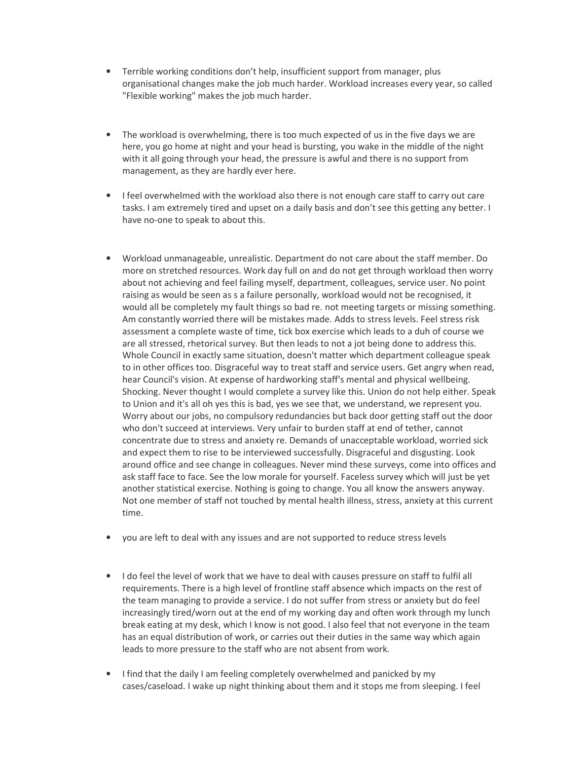- Terrible working conditions don't help, insufficient support from manager, plus organisational changes make the job much harder. Workload increases every year, so called "Flexible working" makes the job much harder.
- The workload is overwhelming, there is too much expected of us in the five days we are here, you go home at night and your head is bursting, you wake in the middle of the night with it all going through your head, the pressure is awful and there is no support from management, as they are hardly ever here.
- I feel overwhelmed with the workload also there is not enough care staff to carry out care tasks. I am extremely tired and upset on a daily basis and don't see this getting any better. I have no-one to speak to about this.
- Workload unmanageable, unrealistic. Department do not care about the staff member. Do more on stretched resources. Work day full on and do not get through workload then worry about not achieving and feel failing myself, department, colleagues, service user. No point raising as would be seen as s a failure personally, workload would not be recognised, it would all be completely my fault things so bad re. not meeting targets or missing something. Am constantly worried there will be mistakes made. Adds to stress levels. Feel stress risk assessment a complete waste of time, tick box exercise which leads to a duh of course we are all stressed, rhetorical survey. But then leads to not a jot being done to address this. Whole Council in exactly same situation, doesn't matter which department colleague speak to in other offices too. Disgraceful way to treat staff and service users. Get angry when read, hear Council's vision. At expense of hardworking staff's mental and physical wellbeing. Shocking. Never thought I would complete a survey like this. Union do not help either. Speak to Union and it's all oh yes this is bad, yes we see that, we understand, we represent you. Worry about our jobs, no compulsory redundancies but back door getting staff out the door who don't succeed at interviews. Very unfair to burden staff at end of tether, cannot concentrate due to stress and anxiety re. Demands of unacceptable workload, worried sick and expect them to rise to be interviewed successfully. Disgraceful and disgusting. Look around office and see change in colleagues. Never mind these surveys, come into offices and ask staff face to face. See the low morale for yourself. Faceless survey which will just be yet another statistical exercise. Nothing is going to change. You all know the answers anyway. Not one member of staff not touched by mental health illness, stress, anxiety at this current time.
- you are left to deal with any issues and are not supported to reduce stress levels
- I do feel the level of work that we have to deal with causes pressure on staff to fulfil all requirements. There is a high level of frontline staff absence which impacts on the rest of the team managing to provide a service. I do not suffer from stress or anxiety but do feel increasingly tired/worn out at the end of my working day and often work through my lunch break eating at my desk, which I know is not good. I also feel that not everyone in the team has an equal distribution of work, or carries out their duties in the same way which again leads to more pressure to the staff who are not absent from work.
- I find that the daily I am feeling completely overwhelmed and panicked by my cases/caseload. I wake up night thinking about them and it stops me from sleeping. I feel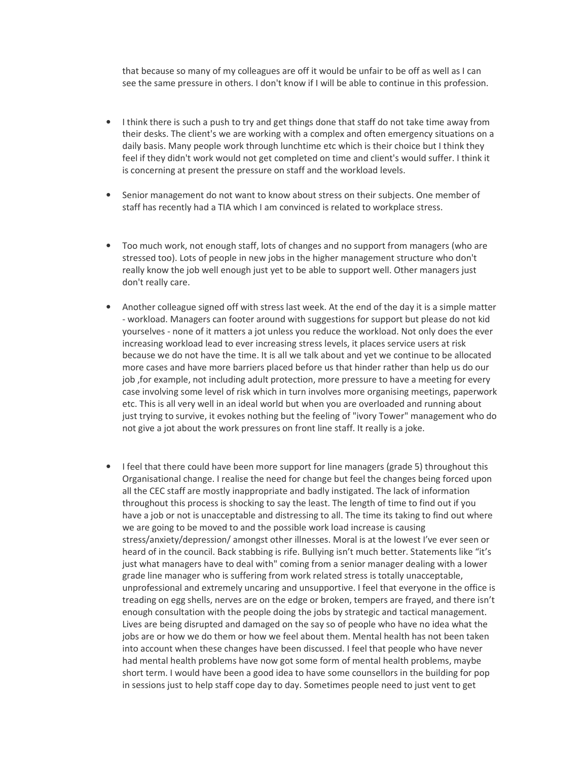that because so many of my colleagues are off it would be unfair to be off as well as I can see the same pressure in others. I don't know if I will be able to continue in this profession.

- I think there is such a push to try and get things done that staff do not take time away from their desks. The client's we are working with a complex and often emergency situations on a daily basis. Many people work through lunchtime etc which is their choice but I think they feel if they didn't work would not get completed on time and client's would suffer. I think it is concerning at present the pressure on staff and the workload levels.
- Senior management do not want to know about stress on their subjects. One member of staff has recently had a TIA which I am convinced is related to workplace stress.
- Too much work, not enough staff, lots of changes and no support from managers (who are stressed too). Lots of people in new jobs in the higher management structure who don't really know the job well enough just yet to be able to support well. Other managers just don't really care.
- Another colleague signed off with stress last week. At the end of the day it is a simple matter - workload. Managers can footer around with suggestions for support but please do not kid yourselves - none of it matters a jot unless you reduce the workload. Not only does the ever increasing workload lead to ever increasing stress levels, it places service users at risk because we do not have the time. It is all we talk about and yet we continue to be allocated more cases and have more barriers placed before us that hinder rather than help us do our job ,for example, not including adult protection, more pressure to have a meeting for every case involving some level of risk which in turn involves more organising meetings, paperwork etc. This is all very well in an ideal world but when you are overloaded and running about just trying to survive, it evokes nothing but the feeling of "ivory Tower" management who do not give a jot about the work pressures on front line staff. It really is a joke.
- I feel that there could have been more support for line managers (grade 5) throughout this Organisational change. I realise the need for change but feel the changes being forced upon all the CEC staff are mostly inappropriate and badly instigated. The lack of information throughout this process is shocking to say the least. The length of time to find out if you have a job or not is unacceptable and distressing to all. The time its taking to find out where we are going to be moved to and the possible work load increase is causing stress/anxiety/depression/ amongst other illnesses. Moral is at the lowest I've ever seen or heard of in the council. Back stabbing is rife. Bullying isn't much better. Statements like "it's just what managers have to deal with" coming from a senior manager dealing with a lower grade line manager who is suffering from work related stress is totally unacceptable, unprofessional and extremely uncaring and unsupportive. I feel that everyone in the office is treading on egg shells, nerves are on the edge or broken, tempers are frayed, and there isn't enough consultation with the people doing the jobs by strategic and tactical management. Lives are being disrupted and damaged on the say so of people who have no idea what the jobs are or how we do them or how we feel about them. Mental health has not been taken into account when these changes have been discussed. I feel that people who have never had mental health problems have now got some form of mental health problems, maybe short term. I would have been a good idea to have some counsellors in the building for pop in sessions just to help staff cope day to day. Sometimes people need to just vent to get